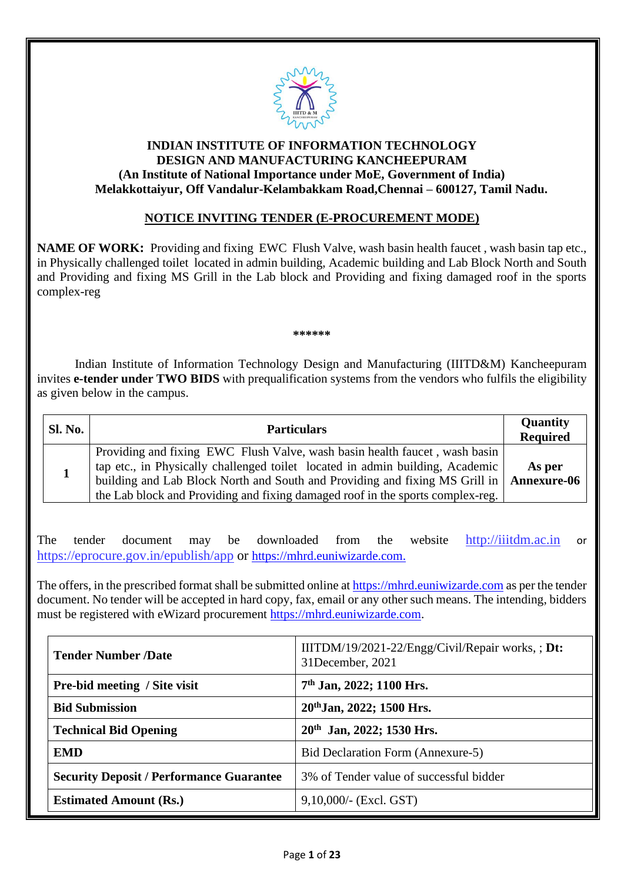

# **INDIAN INSTITUTE OF INFORMATION TECHNOLOGY DESIGN AND MANUFACTURING KANCHEEPURAM (An Institute of National Importance under MoE, Government of India) Melakkottaiyur, Off Vandalur-Kelambakkam Road,Chennai – 600127, Tamil Nadu.**

### **NOTICE INVITING TENDER (E-PROCUREMENT MODE)**

**NAME OF WORK:** Providing and fixing EWC Flush Valve, wash basin health faucet , wash basin tap etc., in Physically challenged toilet located in admin building, Academic building and Lab Block North and South and Providing and fixing MS Grill in the Lab block and Providing and fixing damaged roof in the sports complex-reg

**\*\*\*\*\*\***

Indian Institute of Information Technology Design and Manufacturing (IIITD&M) Kancheepuram invites **e-tender under TWO BIDS** with prequalification systems from the vendors who fulfils the eligibility as given below in the campus.

| <b>Sl. No.</b> | <b>Particulars</b>                                                                                                                                                                                                                                                                                                                         | Quantity<br><b>Required</b> |
|----------------|--------------------------------------------------------------------------------------------------------------------------------------------------------------------------------------------------------------------------------------------------------------------------------------------------------------------------------------------|-----------------------------|
|                | Providing and fixing EWC Flush Valve, wash basin health faucet, wash basin<br>tap etc., in Physically challenged toilet located in admin building, Academic<br>building and Lab Block North and South and Providing and fixing MS Grill in   Annexure-06<br>the Lab block and Providing and fixing damaged roof in the sports complex-reg. | As per                      |

The tender document may be downloaded from the website [http://iiitdm.ac.in](http://iiitdm.ac.in/) or https://eprocure.gov.in/epublish/app or [https://mhrd.euniwizarde.com.](https://mhrd.euniwizarde.com/)

The offers, in the prescribed format shall be submitted online at https://mhrd.euniwizarde.com as per the tender document. No tender will be accepted in hard copy, fax, email or any other such means. The intending, bidders must be registered with eWizard procurement [https://mhrd.euniwizarde.com.](https://mhrd.euniwizarde.com/)

| <b>Tender Number /Date</b>                      | IIITDM/19/2021-22/Engg/Civil/Repair works, ; Dt:<br>31December, 2021 |  |  |  |  |
|-------------------------------------------------|----------------------------------------------------------------------|--|--|--|--|
| <b>Pre-bid meeting / Site visit</b>             | 7 <sup>th</sup> Jan, 2022; 1100 Hrs.                                 |  |  |  |  |
| <b>Bid Submission</b>                           | 20th Jan, 2022; 1500 Hrs.                                            |  |  |  |  |
| <b>Technical Bid Opening</b>                    | 20 <sup>th</sup> Jan, 2022; 1530 Hrs.                                |  |  |  |  |
| <b>EMD</b>                                      | Bid Declaration Form (Annexure-5)                                    |  |  |  |  |
| <b>Security Deposit / Performance Guarantee</b> | 3% of Tender value of successful bidder                              |  |  |  |  |
| <b>Estimated Amount (Rs.)</b>                   | $9,10,000/$ - (Excl. GST)                                            |  |  |  |  |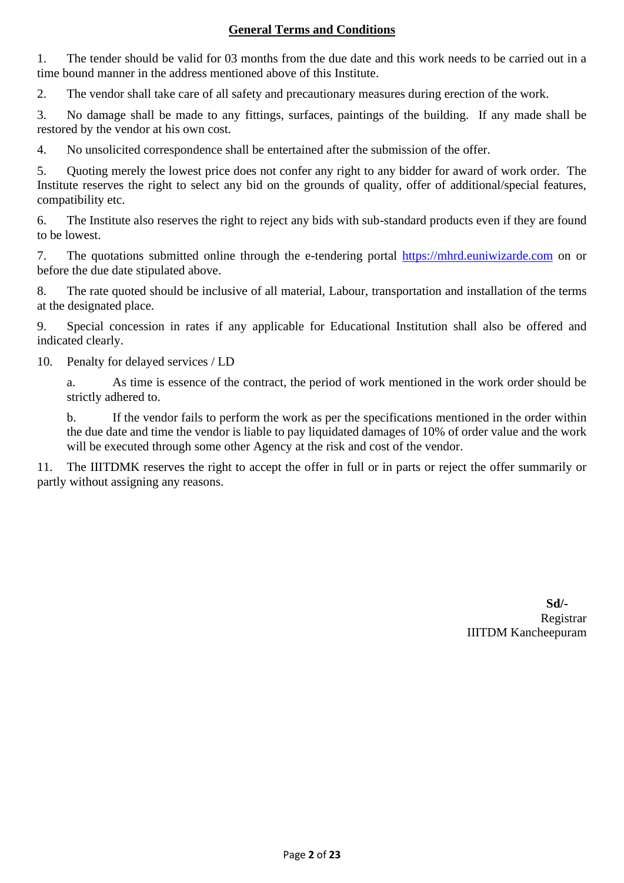# **General Terms and Conditions**

1. The tender should be valid for 03 months from the due date and this work needs to be carried out in a time bound manner in the address mentioned above of this Institute.

2. The vendor shall take care of all safety and precautionary measures during erection of the work.

3. No damage shall be made to any fittings, surfaces, paintings of the building. If any made shall be restored by the vendor at his own cost.

4. No unsolicited correspondence shall be entertained after the submission of the offer.

5. Quoting merely the lowest price does not confer any right to any bidder for award of work order. The Institute reserves the right to select any bid on the grounds of quality, offer of additional/special features, compatibility etc.

6. The Institute also reserves the right to reject any bids with sub-standard products even if they are found to be lowest.

7. The quotations submitted online through the e-tendering portal [https://mhrd.euniwizarde.com](https://mhrd.euniwizarde.com/) on or before the due date stipulated above.

8. The rate quoted should be inclusive of all material, Labour, transportation and installation of the terms at the designated place.

9. Special concession in rates if any applicable for Educational Institution shall also be offered and indicated clearly.

10. Penalty for delayed services / LD

a. As time is essence of the contract, the period of work mentioned in the work order should be strictly adhered to.

b. If the vendor fails to perform the work as per the specifications mentioned in the order within the due date and time the vendor is liable to pay liquidated damages of 10% of order value and the work will be executed through some other Agency at the risk and cost of the vendor.

The IIITDMK reserves the right to accept the offer in full or in parts or reject the offer summarily or partly without assigning any reasons.

> **Sd/-** Registrar IIITDM Kancheepuram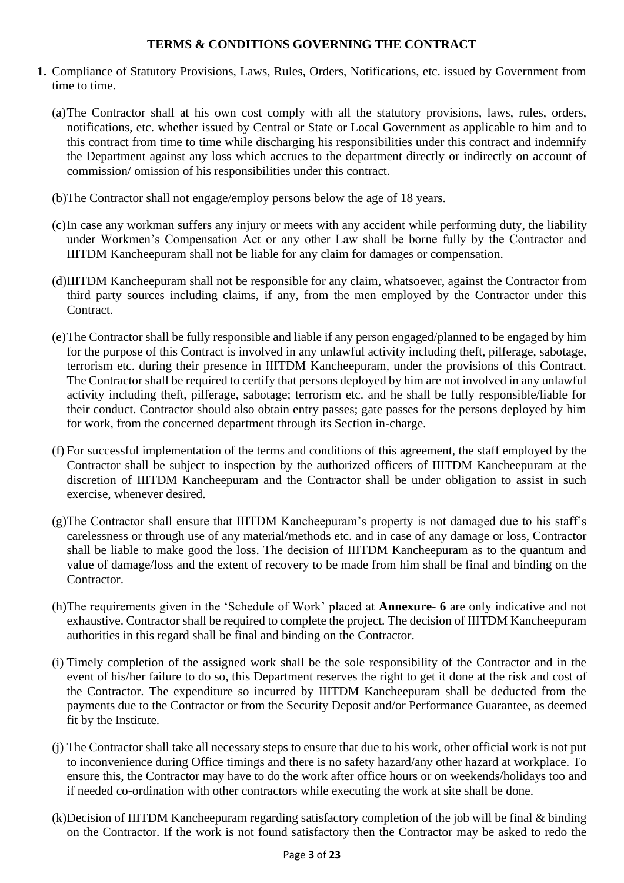### **TERMS & CONDITIONS GOVERNING THE CONTRACT**

- **1.** Compliance of Statutory Provisions, Laws, Rules, Orders, Notifications, etc. issued by Government from time to time.
	- (a)The Contractor shall at his own cost comply with all the statutory provisions, laws, rules, orders, notifications, etc. whether issued by Central or State or Local Government as applicable to him and to this contract from time to time while discharging his responsibilities under this contract and indemnify the Department against any loss which accrues to the department directly or indirectly on account of commission/ omission of his responsibilities under this contract.
	- (b)The Contractor shall not engage/employ persons below the age of 18 years.
	- (c)In case any workman suffers any injury or meets with any accident while performing duty, the liability under Workmen's Compensation Act or any other Law shall be borne fully by the Contractor and IIITDM Kancheepuram shall not be liable for any claim for damages or compensation.
	- (d)IIITDM Kancheepuram shall not be responsible for any claim, whatsoever, against the Contractor from third party sources including claims, if any, from the men employed by the Contractor under this **Contract**
	- (e)The Contractor shall be fully responsible and liable if any person engaged/planned to be engaged by him for the purpose of this Contract is involved in any unlawful activity including theft, pilferage, sabotage, terrorism etc. during their presence in IIITDM Kancheepuram, under the provisions of this Contract. The Contractor shall be required to certify that persons deployed by him are not involved in any unlawful activity including theft, pilferage, sabotage; terrorism etc. and he shall be fully responsible/liable for their conduct. Contractor should also obtain entry passes; gate passes for the persons deployed by him for work, from the concerned department through its Section in-charge.
	- (f) For successful implementation of the terms and conditions of this agreement, the staff employed by the Contractor shall be subject to inspection by the authorized officers of IIITDM Kancheepuram at the discretion of IIITDM Kancheepuram and the Contractor shall be under obligation to assist in such exercise, whenever desired.
	- (g)The Contractor shall ensure that IIITDM Kancheepuram's property is not damaged due to his staff's carelessness or through use of any material/methods etc. and in case of any damage or loss, Contractor shall be liable to make good the loss. The decision of IIITDM Kancheepuram as to the quantum and value of damage/loss and the extent of recovery to be made from him shall be final and binding on the Contractor.
	- (h)The requirements given in the 'Schedule of Work' placed at **Annexure- 6** are only indicative and not exhaustive. Contractor shall be required to complete the project. The decision of IIITDM Kancheepuram authorities in this regard shall be final and binding on the Contractor.
	- (i) Timely completion of the assigned work shall be the sole responsibility of the Contractor and in the event of his/her failure to do so, this Department reserves the right to get it done at the risk and cost of the Contractor. The expenditure so incurred by IIITDM Kancheepuram shall be deducted from the payments due to the Contractor or from the Security Deposit and/or Performance Guarantee, as deemed fit by the Institute.
	- (j) The Contractor shall take all necessary steps to ensure that due to his work, other official work is not put to inconvenience during Office timings and there is no safety hazard/any other hazard at workplace. To ensure this, the Contractor may have to do the work after office hours or on weekends/holidays too and if needed co-ordination with other contractors while executing the work at site shall be done.
	- (k)Decision of IIITDM Kancheepuram regarding satisfactory completion of the job will be final & binding on the Contractor. If the work is not found satisfactory then the Contractor may be asked to redo the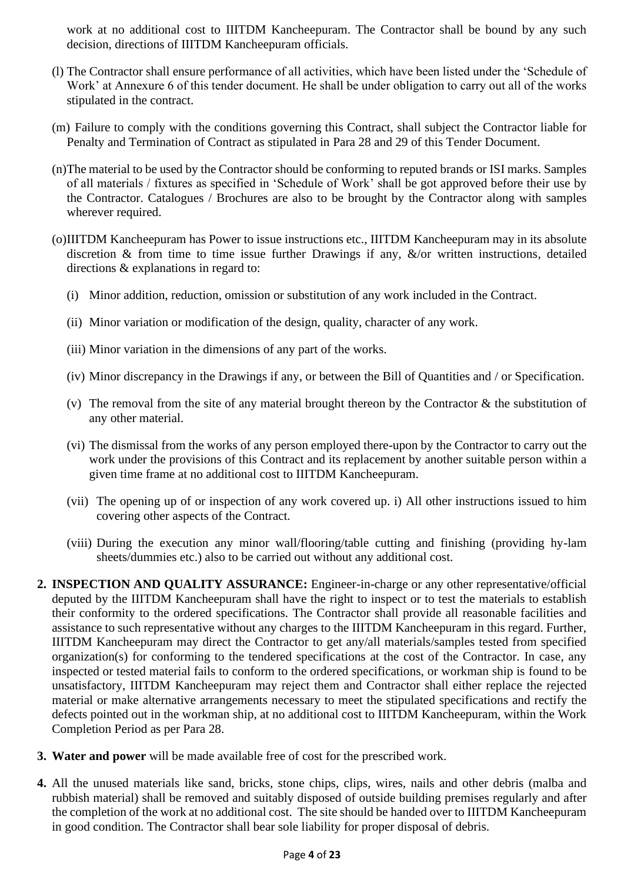work at no additional cost to IIITDM Kancheepuram. The Contractor shall be bound by any such decision, directions of IIITDM Kancheepuram officials.

- (l) The Contractor shall ensure performance of all activities, which have been listed under the 'Schedule of Work' at Annexure 6 of this tender document. He shall be under obligation to carry out all of the works stipulated in the contract.
- (m) Failure to comply with the conditions governing this Contract, shall subject the Contractor liable for Penalty and Termination of Contract as stipulated in Para 28 and 29 of this Tender Document.
- (n)The material to be used by the Contractor should be conforming to reputed brands or ISI marks. Samples of all materials / fixtures as specified in 'Schedule of Work' shall be got approved before their use by the Contractor. Catalogues / Brochures are also to be brought by the Contractor along with samples wherever required.
- (o)IIITDM Kancheepuram has Power to issue instructions etc., IIITDM Kancheepuram may in its absolute discretion & from time to time issue further Drawings if any, &/or written instructions, detailed directions & explanations in regard to:
	- (i) Minor addition, reduction, omission or substitution of any work included in the Contract.
	- (ii) Minor variation or modification of the design, quality, character of any work.
	- (iii) Minor variation in the dimensions of any part of the works.
	- (iv) Minor discrepancy in the Drawings if any, or between the Bill of Quantities and / or Specification.
	- (v) The removal from the site of any material brought thereon by the Contractor  $\&$  the substitution of any other material.
	- (vi) The dismissal from the works of any person employed there-upon by the Contractor to carry out the work under the provisions of this Contract and its replacement by another suitable person within a given time frame at no additional cost to IIITDM Kancheepuram.
	- (vii) The opening up of or inspection of any work covered up. i) All other instructions issued to him covering other aspects of the Contract.
	- (viii) During the execution any minor wall/flooring/table cutting and finishing (providing hy-lam sheets/dummies etc.) also to be carried out without any additional cost.
- **2. INSPECTION AND QUALITY ASSURANCE:** Engineer-in-charge or any other representative/official deputed by the IIITDM Kancheepuram shall have the right to inspect or to test the materials to establish their conformity to the ordered specifications. The Contractor shall provide all reasonable facilities and assistance to such representative without any charges to the IIITDM Kancheepuram in this regard. Further, IIITDM Kancheepuram may direct the Contractor to get any/all materials/samples tested from specified organization(s) for conforming to the tendered specifications at the cost of the Contractor. In case, any inspected or tested material fails to conform to the ordered specifications, or workman ship is found to be unsatisfactory, IIITDM Kancheepuram may reject them and Contractor shall either replace the rejected material or make alternative arrangements necessary to meet the stipulated specifications and rectify the defects pointed out in the workman ship, at no additional cost to IIITDM Kancheepuram, within the Work Completion Period as per Para 28.
- **3. Water and power** will be made available free of cost for the prescribed work.
- **4.** All the unused materials like sand, bricks, stone chips, clips, wires, nails and other debris (malba and rubbish material) shall be removed and suitably disposed of outside building premises regularly and after the completion of the work at no additional cost. The site should be handed over to IIITDM Kancheepuram in good condition. The Contractor shall bear sole liability for proper disposal of debris.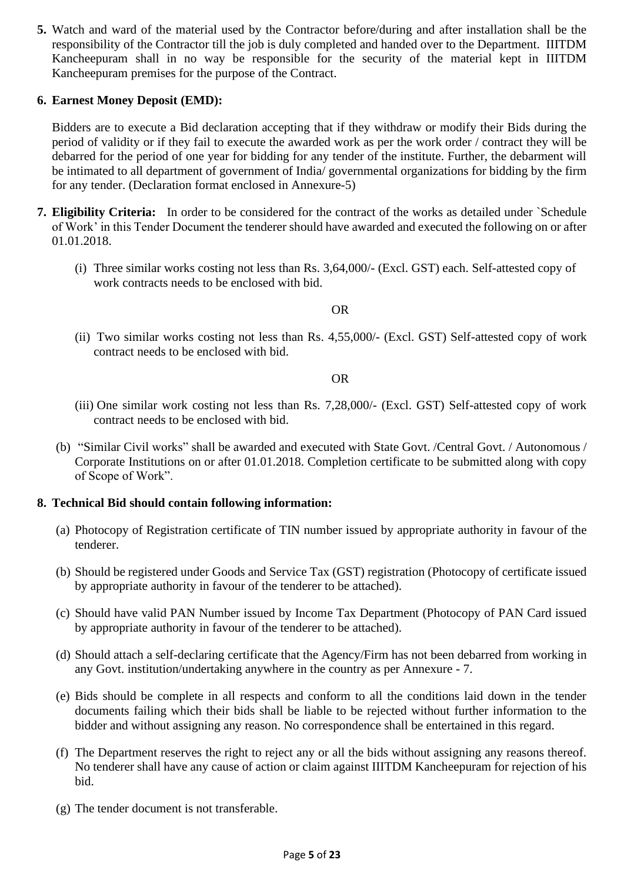**5.** Watch and ward of the material used by the Contractor before/during and after installation shall be the responsibility of the Contractor till the job is duly completed and handed over to the Department. IIITDM Kancheepuram shall in no way be responsible for the security of the material kept in IIITDM Kancheepuram premises for the purpose of the Contract.

### **6. Earnest Money Deposit (EMD):**

Bidders are to execute a Bid declaration accepting that if they withdraw or modify their Bids during the period of validity or if they fail to execute the awarded work as per the work order / contract they will be debarred for the period of one year for bidding for any tender of the institute. Further, the debarment will be intimated to all department of government of India/ governmental organizations for bidding by the firm for any tender. (Declaration format enclosed in Annexure-5)

- **7. Eligibility Criteria:** In order to be considered for the contract of the works as detailed under `Schedule of Work' in this Tender Document the tenderer should have awarded and executed the following on or after 01.01.2018.
	- (i) Three similar works costing not less than Rs. 3,64,000/- (Excl. GST) each. Self-attested copy of work contracts needs to be enclosed with bid.

#### OR

(ii) Two similar works costing not less than Rs. 4,55,000/- (Excl. GST) Self-attested copy of work contract needs to be enclosed with bid.

#### OR

- (iii) One similar work costing not less than Rs. 7,28,000/- (Excl. GST) Self-attested copy of work contract needs to be enclosed with bid.
- (b) "Similar Civil works" shall be awarded and executed with State Govt. /Central Govt. / Autonomous / Corporate Institutions on or after 01.01.2018. Completion certificate to be submitted along with copy of Scope of Work".

#### **8. Technical Bid should contain following information:**

- (a) Photocopy of Registration certificate of TIN number issued by appropriate authority in favour of the tenderer.
- (b) Should be registered under Goods and Service Tax (GST) registration (Photocopy of certificate issued by appropriate authority in favour of the tenderer to be attached).
- (c) Should have valid PAN Number issued by Income Tax Department (Photocopy of PAN Card issued by appropriate authority in favour of the tenderer to be attached).
- (d) Should attach a self-declaring certificate that the Agency/Firm has not been debarred from working in any Govt. institution/undertaking anywhere in the country as per Annexure - 7.
- (e) Bids should be complete in all respects and conform to all the conditions laid down in the tender documents failing which their bids shall be liable to be rejected without further information to the bidder and without assigning any reason. No correspondence shall be entertained in this regard.
- (f) The Department reserves the right to reject any or all the bids without assigning any reasons thereof. No tenderer shall have any cause of action or claim against IIITDM Kancheepuram for rejection of his bid.
- (g) The tender document is not transferable.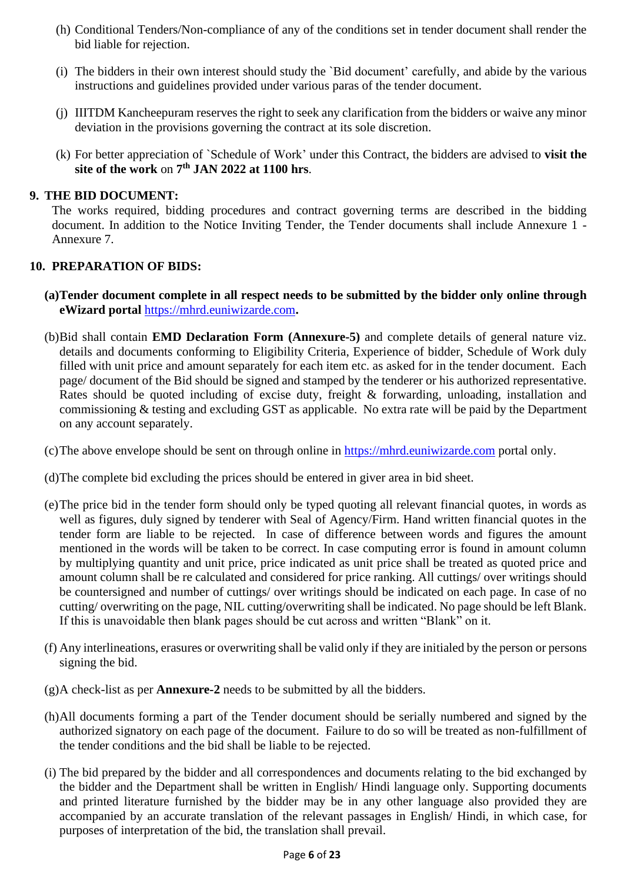- (h) Conditional Tenders/Non-compliance of any of the conditions set in tender document shall render the bid liable for rejection.
- (i) The bidders in their own interest should study the `Bid document' carefully, and abide by the various instructions and guidelines provided under various paras of the tender document.
- (j) IIITDM Kancheepuram reserves the right to seek any clarification from the bidders or waive any minor deviation in the provisions governing the contract at its sole discretion.
- (k) For better appreciation of `Schedule of Work' under this Contract, the bidders are advised to **visit the site of the work** on **7 th JAN 2022 at 1100 hrs**.

### **9. THE BID DOCUMENT:**

The works required, bidding procedures and contract governing terms are described in the bidding document. In addition to the Notice Inviting Tender, the Tender documents shall include Annexure 1 - Annexure 7.

### **10. PREPARATION OF BIDS:**

- **(a)Tender document complete in all respect needs to be submitted by the bidder only online through eWizard portal** [https://mhrd.euniwizarde.com](https://mhrd.euniwizarde.com/)**.**
- (b)Bid shall contain **EMD Declaration Form (Annexure-5)** and complete details of general nature viz. details and documents conforming to Eligibility Criteria, Experience of bidder, Schedule of Work duly filled with unit price and amount separately for each item etc. as asked for in the tender document. Each page/ document of the Bid should be signed and stamped by the tenderer or his authorized representative. Rates should be quoted including of excise duty, freight & forwarding, unloading, installation and commissioning & testing and excluding GST as applicable. No extra rate will be paid by the Department on any account separately.
- (c)The above envelope should be sent on through online in [https://mhrd.euniwizarde.com](https://mhrd.euniwizarde.com/) portal only.
- (d)The complete bid excluding the prices should be entered in giver area in bid sheet.
- (e)The price bid in the tender form should only be typed quoting all relevant financial quotes, in words as well as figures, duly signed by tenderer with Seal of Agency/Firm. Hand written financial quotes in the tender form are liable to be rejected. In case of difference between words and figures the amount mentioned in the words will be taken to be correct. In case computing error is found in amount column by multiplying quantity and unit price, price indicated as unit price shall be treated as quoted price and amount column shall be re calculated and considered for price ranking. All cuttings/ over writings should be countersigned and number of cuttings/ over writings should be indicated on each page. In case of no cutting/ overwriting on the page, NIL cutting/overwriting shall be indicated. No page should be left Blank. If this is unavoidable then blank pages should be cut across and written "Blank" on it.
- (f) Any interlineations, erasures or overwriting shall be valid only if they are initialed by the person or persons signing the bid.
- (g)A check-list as per **Annexure-2** needs to be submitted by all the bidders.
- (h)All documents forming a part of the Tender document should be serially numbered and signed by the authorized signatory on each page of the document. Failure to do so will be treated as non-fulfillment of the tender conditions and the bid shall be liable to be rejected.
- (i) The bid prepared by the bidder and all correspondences and documents relating to the bid exchanged by the bidder and the Department shall be written in English/ Hindi language only. Supporting documents and printed literature furnished by the bidder may be in any other language also provided they are accompanied by an accurate translation of the relevant passages in English/ Hindi, in which case, for purposes of interpretation of the bid, the translation shall prevail.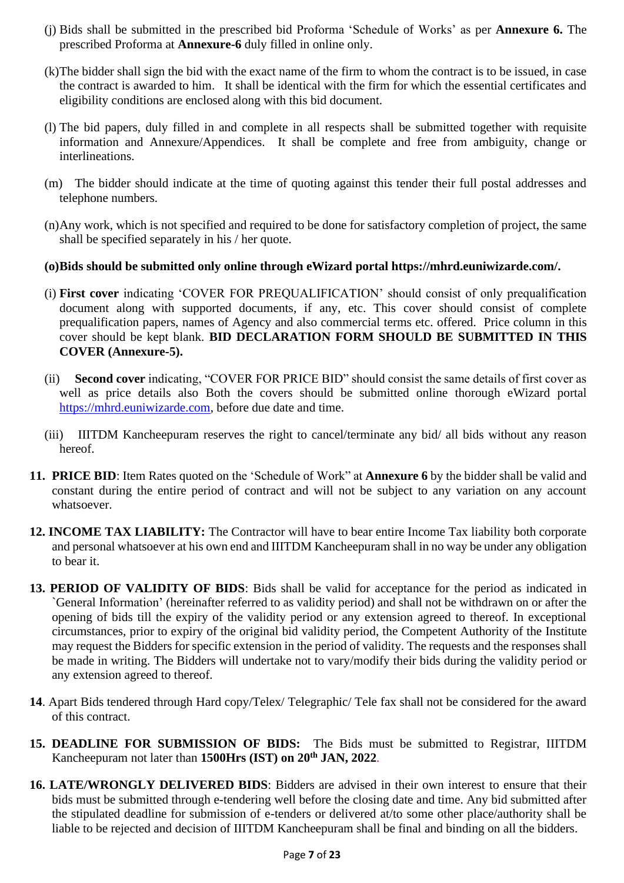- (j) Bids shall be submitted in the prescribed bid Proforma 'Schedule of Works' as per **Annexure 6.** The prescribed Proforma at **Annexure-6** duly filled in online only.
- (k)The bidder shall sign the bid with the exact name of the firm to whom the contract is to be issued, in case the contract is awarded to him. It shall be identical with the firm for which the essential certificates and eligibility conditions are enclosed along with this bid document.
- (l) The bid papers, duly filled in and complete in all respects shall be submitted together with requisite information and Annexure/Appendices. It shall be complete and free from ambiguity, change or interlineations.
- (m) The bidder should indicate at the time of quoting against this tender their full postal addresses and telephone numbers.
- (n)Any work, which is not specified and required to be done for satisfactory completion of project, the same shall be specified separately in his / her quote.

# **(o)Bids should be submitted only online through eWizard portal https://mhrd.euniwizarde.com/.**

- (i) **First cover** indicating 'COVER FOR PREQUALIFICATION' should consist of only prequalification document along with supported documents, if any, etc. This cover should consist of complete prequalification papers, names of Agency and also commercial terms etc. offered. Price column in this cover should be kept blank. **BID DECLARATION FORM SHOULD BE SUBMITTED IN THIS COVER (Annexure-5).**
- (ii) **Second cover** indicating, "COVER FOR PRICE BID" should consist the same details of first cover as well as price details also Both the covers should be submitted online thorough eWizard portal [https://mhrd.euniwizarde.com,](https://mhrd.euniwizarde.com/) before due date and time.
- (iii) IIITDM Kancheepuram reserves the right to cancel/terminate any bid/ all bids without any reason hereof.
- **11. PRICE BID**: Item Rates quoted on the 'Schedule of Work" at **Annexure 6** by the bidder shall be valid and constant during the entire period of contract and will not be subject to any variation on any account whatsoever.
- **12. INCOME TAX LIABILITY:** The Contractor will have to bear entire Income Tax liability both corporate and personal whatsoever at his own end and IIITDM Kancheepuram shall in no way be under any obligation to bear it.
- **13. PERIOD OF VALIDITY OF BIDS**: Bids shall be valid for acceptance for the period as indicated in `General Information' (hereinafter referred to as validity period) and shall not be withdrawn on or after the opening of bids till the expiry of the validity period or any extension agreed to thereof. In exceptional circumstances, prior to expiry of the original bid validity period, the Competent Authority of the Institute may request the Bidders for specific extension in the period of validity. The requests and the responses shall be made in writing. The Bidders will undertake not to vary/modify their bids during the validity period or any extension agreed to thereof.
- **14**. Apart Bids tendered through Hard copy/Telex/ Telegraphic/ Tele fax shall not be considered for the award of this contract.
- **15. DEADLINE FOR SUBMISSION OF BIDS:** The Bids must be submitted to Registrar, IIITDM Kancheepuram not later than **1500Hrs (IST) on 20th JAN, 2022**.
- **16. LATE/WRONGLY DELIVERED BIDS**: Bidders are advised in their own interest to ensure that their bids must be submitted through e-tendering well before the closing date and time. Any bid submitted after the stipulated deadline for submission of e-tenders or delivered at/to some other place/authority shall be liable to be rejected and decision of IIITDM Kancheepuram shall be final and binding on all the bidders.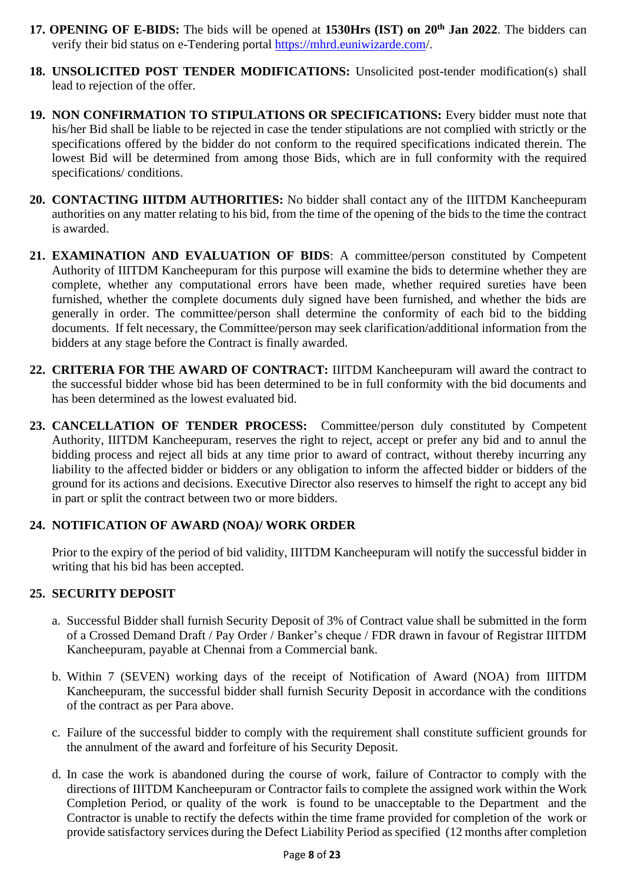- **17. OPENING OF E-BIDS:** The bids will be opened at **1530Hrs (IST) on 20th Jan 2022**. The bidders can verify their bid status on e-Tendering portal<https://mhrd.euniwizarde.com/>.
- **18. UNSOLICITED POST TENDER MODIFICATIONS:** Unsolicited post-tender modification(s) shall lead to rejection of the offer.
- **19. NON CONFIRMATION TO STIPULATIONS OR SPECIFICATIONS:** Every bidder must note that his/her Bid shall be liable to be rejected in case the tender stipulations are not complied with strictly or the specifications offered by the bidder do not conform to the required specifications indicated therein. The lowest Bid will be determined from among those Bids, which are in full conformity with the required specifications/ conditions.
- **20. CONTACTING IIITDM AUTHORITIES:** No bidder shall contact any of the IIITDM Kancheepuram authorities on any matter relating to his bid, from the time of the opening of the bids to the time the contract is awarded.
- **21. EXAMINATION AND EVALUATION OF BIDS**: A committee/person constituted by Competent Authority of IIITDM Kancheepuram for this purpose will examine the bids to determine whether they are complete, whether any computational errors have been made, whether required sureties have been furnished, whether the complete documents duly signed have been furnished, and whether the bids are generally in order. The committee/person shall determine the conformity of each bid to the bidding documents. If felt necessary, the Committee/person may seek clarification/additional information from the bidders at any stage before the Contract is finally awarded.
- **22. CRITERIA FOR THE AWARD OF CONTRACT:** IIITDM Kancheepuram will award the contract to the successful bidder whose bid has been determined to be in full conformity with the bid documents and has been determined as the lowest evaluated bid.
- **23. CANCELLATION OF TENDER PROCESS:** Committee/person duly constituted by Competent Authority, IIITDM Kancheepuram, reserves the right to reject, accept or prefer any bid and to annul the bidding process and reject all bids at any time prior to award of contract, without thereby incurring any liability to the affected bidder or bidders or any obligation to inform the affected bidder or bidders of the ground for its actions and decisions. Executive Director also reserves to himself the right to accept any bid in part or split the contract between two or more bidders.

# **24. NOTIFICATION OF AWARD (NOA)/ WORK ORDER**

Prior to the expiry of the period of bid validity, IIITDM Kancheepuram will notify the successful bidder in writing that his bid has been accepted.

# **25. SECURITY DEPOSIT**

- a. Successful Bidder shall furnish Security Deposit of 3% of Contract value shall be submitted in the form of a Crossed Demand Draft / Pay Order / Banker's cheque / FDR drawn in favour of Registrar IIITDM Kancheepuram, payable at Chennai from a Commercial bank.
- b. Within 7 (SEVEN) working days of the receipt of Notification of Award (NOA) from IIITDM Kancheepuram, the successful bidder shall furnish Security Deposit in accordance with the conditions of the contract as per Para above.
- c. Failure of the successful bidder to comply with the requirement shall constitute sufficient grounds for the annulment of the award and forfeiture of his Security Deposit.
- d. In case the work is abandoned during the course of work, failure of Contractor to comply with the directions of IIITDM Kancheepuram or Contractor fails to complete the assigned work within the Work Completion Period, or quality of the work is found to be unacceptable to the Department and the Contractor is unable to rectify the defects within the time frame provided for completion of the work or provide satisfactory services during the Defect Liability Period as specified (12 months after completion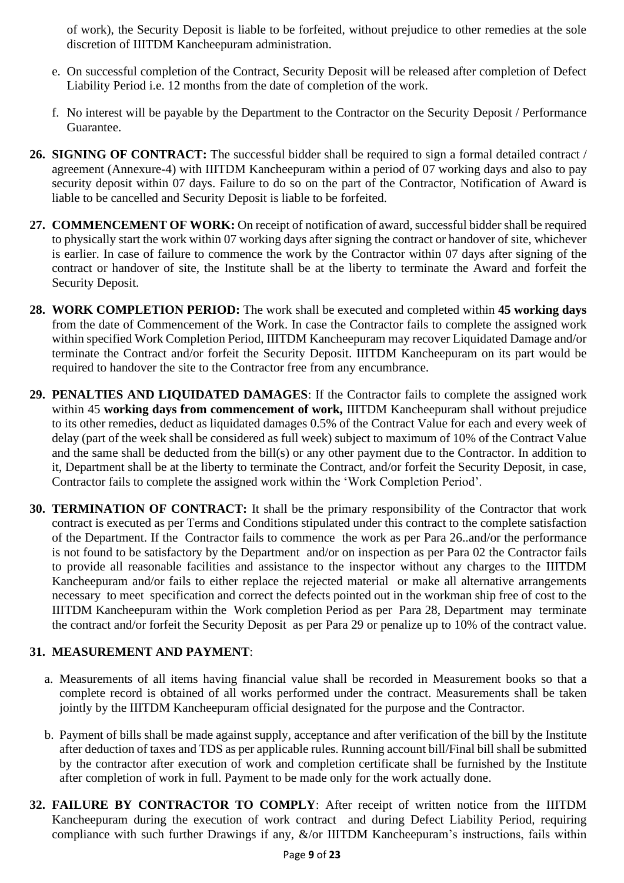of work), the Security Deposit is liable to be forfeited, without prejudice to other remedies at the sole discretion of IIITDM Kancheepuram administration.

- e. On successful completion of the Contract, Security Deposit will be released after completion of Defect Liability Period i.e. 12 months from the date of completion of the work.
- f. No interest will be payable by the Department to the Contractor on the Security Deposit / Performance Guarantee.
- **26. SIGNING OF CONTRACT:** The successful bidder shall be required to sign a formal detailed contract / agreement (Annexure-4) with IIITDM Kancheepuram within a period of 07 working days and also to pay security deposit within 07 days. Failure to do so on the part of the Contractor, Notification of Award is liable to be cancelled and Security Deposit is liable to be forfeited.
- **27. COMMENCEMENT OF WORK:** On receipt of notification of award, successful bidder shall be required to physically start the work within 07 working days after signing the contract or handover of site, whichever is earlier. In case of failure to commence the work by the Contractor within 07 days after signing of the contract or handover of site, the Institute shall be at the liberty to terminate the Award and forfeit the Security Deposit.
- **28. WORK COMPLETION PERIOD:** The work shall be executed and completed within **45 working days** from the date of Commencement of the Work. In case the Contractor fails to complete the assigned work within specified Work Completion Period, IIITDM Kancheepuram may recover Liquidated Damage and/or terminate the Contract and/or forfeit the Security Deposit. IIITDM Kancheepuram on its part would be required to handover the site to the Contractor free from any encumbrance.
- **29. PENALTIES AND LIQUIDATED DAMAGES**: If the Contractor fails to complete the assigned work within 45 **working days from commencement of work,** IIITDM Kancheepuram shall without prejudice to its other remedies, deduct as liquidated damages 0.5% of the Contract Value for each and every week of delay (part of the week shall be considered as full week) subject to maximum of 10% of the Contract Value and the same shall be deducted from the bill(s) or any other payment due to the Contractor. In addition to it, Department shall be at the liberty to terminate the Contract, and/or forfeit the Security Deposit, in case, Contractor fails to complete the assigned work within the 'Work Completion Period'.
- **30. TERMINATION OF CONTRACT:** It shall be the primary responsibility of the Contractor that work contract is executed as per Terms and Conditions stipulated under this contract to the complete satisfaction of the Department. If the Contractor fails to commence the work as per Para 26..and/or the performance is not found to be satisfactory by the Department and/or on inspection as per Para 02 the Contractor fails to provide all reasonable facilities and assistance to the inspector without any charges to the IIITDM Kancheepuram and/or fails to either replace the rejected material or make all alternative arrangements necessary to meet specification and correct the defects pointed out in the workman ship free of cost to the IIITDM Kancheepuram within the Work completion Period as per Para 28, Department may terminate the contract and/or forfeit the Security Deposit as per Para 29 or penalize up to 10% of the contract value.

# **31. MEASUREMENT AND PAYMENT**:

- a. Measurements of all items having financial value shall be recorded in Measurement books so that a complete record is obtained of all works performed under the contract. Measurements shall be taken jointly by the IIITDM Kancheepuram official designated for the purpose and the Contractor.
- b. Payment of bills shall be made against supply, acceptance and after verification of the bill by the Institute after deduction of taxes and TDS as per applicable rules. Running account bill/Final bill shall be submitted by the contractor after execution of work and completion certificate shall be furnished by the Institute after completion of work in full. Payment to be made only for the work actually done.
- **32. FAILURE BY CONTRACTOR TO COMPLY**: After receipt of written notice from the IIITDM Kancheepuram during the execution of work contract and during Defect Liability Period, requiring compliance with such further Drawings if any, &/or IIITDM Kancheepuram's instructions, fails within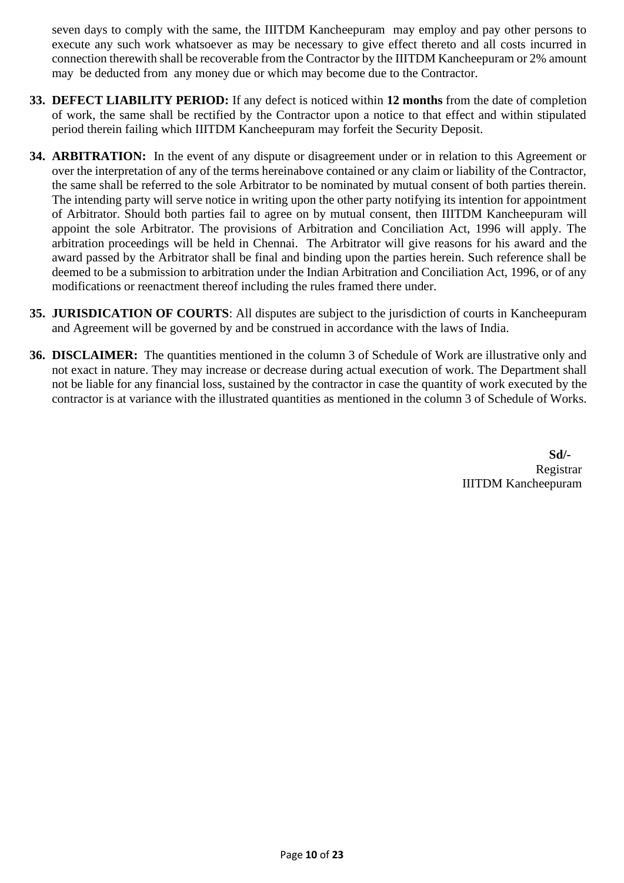seven days to comply with the same, the IIITDM Kancheepuram may employ and pay other persons to execute any such work whatsoever as may be necessary to give effect thereto and all costs incurred in connection therewith shall be recoverable from the Contractor by the IIITDM Kancheepuram or 2% amount may be deducted from any money due or which may become due to the Contractor.

- **33. DEFECT LIABILITY PERIOD:** If any defect is noticed within **12 months** from the date of completion of work, the same shall be rectified by the Contractor upon a notice to that effect and within stipulated period therein failing which IIITDM Kancheepuram may forfeit the Security Deposit.
- **34. ARBITRATION:** In the event of any dispute or disagreement under or in relation to this Agreement or over the interpretation of any of the terms hereinabove contained or any claim or liability of the Contractor, the same shall be referred to the sole Arbitrator to be nominated by mutual consent of both parties therein. The intending party will serve notice in writing upon the other party notifying its intention for appointment of Arbitrator. Should both parties fail to agree on by mutual consent, then IIITDM Kancheepuram will appoint the sole Arbitrator. The provisions of Arbitration and Conciliation Act, 1996 will apply. The arbitration proceedings will be held in Chennai. The Arbitrator will give reasons for his award and the award passed by the Arbitrator shall be final and binding upon the parties herein. Such reference shall be deemed to be a submission to arbitration under the Indian Arbitration and Conciliation Act, 1996, or of any modifications or reenactment thereof including the rules framed there under.
- **35. JURISDICATION OF COURTS**: All disputes are subject to the jurisdiction of courts in Kancheepuram and Agreement will be governed by and be construed in accordance with the laws of India.
- **36. DISCLAIMER:** The quantities mentioned in the column 3 of Schedule of Work are illustrative only and not exact in nature. They may increase or decrease during actual execution of work. The Department shall not be liable for any financial loss, sustained by the contractor in case the quantity of work executed by the contractor is at variance with the illustrated quantities as mentioned in the column 3 of Schedule of Works.

**Sd/-** Registrar IIITDM Kancheepuram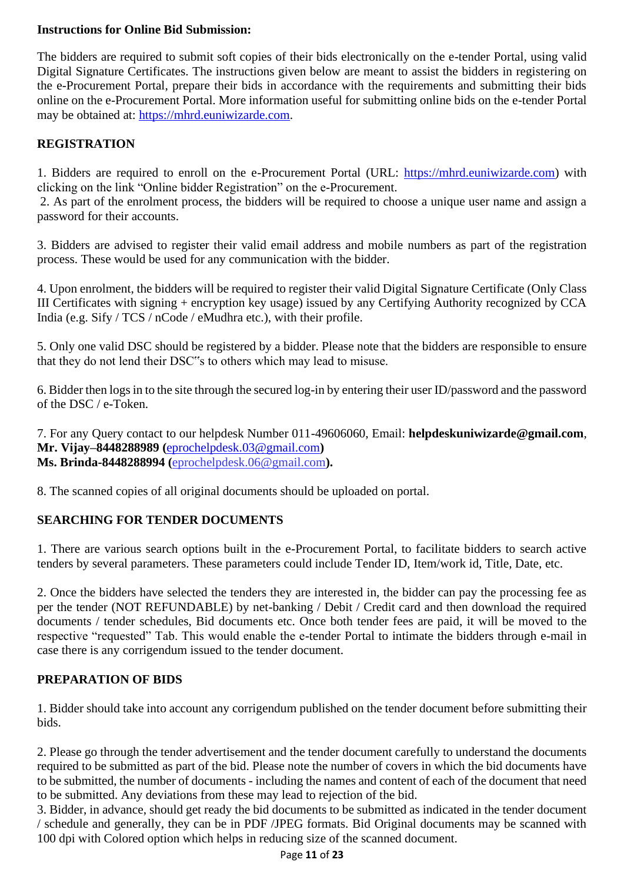## **Instructions for Online Bid Submission:**

The bidders are required to submit soft copies of their bids electronically on the e-tender Portal, using valid Digital Signature Certificates. The instructions given below are meant to assist the bidders in registering on the e-Procurement Portal, prepare their bids in accordance with the requirements and submitting their bids online on the e-Procurement Portal. More information useful for submitting online bids on the e-tender Portal may be obtained at: [https://mhrd.euniwizarde.com.](https://mhrd.euniwizarde.com/)

# **REGISTRATION**

1. Bidders are required to enroll on the e-Procurement Portal (URL: [https://mhrd.euniwizarde.com\)](https://mhrd.euniwizarde.com/) with clicking on the link "Online bidder Registration" on the e-Procurement.

2. As part of the enrolment process, the bidders will be required to choose a unique user name and assign a password for their accounts.

3. Bidders are advised to register their valid email address and mobile numbers as part of the registration process. These would be used for any communication with the bidder.

4. Upon enrolment, the bidders will be required to register their valid Digital Signature Certificate (Only Class III Certificates with signing + encryption key usage) issued by any Certifying Authority recognized by CCA India (e.g. Sify / TCS / nCode / eMudhra etc.), with their profile.

5. Only one valid DSC should be registered by a bidder. Please note that the bidders are responsible to ensure that they do not lend their DSC"s to others which may lead to misuse.

6. Bidder then logs in to the site through the secured log-in by entering their user ID/password and the password of the DSC / e-Token.

7. For any Query contact to our helpdesk Number 011-49606060, Email: **helpdeskuniwizarde@gmail.com**, **Mr. Vijay–8448288989 (**[eprochelpdesk.03@gmail.com](mailto:eprochelpdesk.03@gmail.com)**) Ms. Brinda-8448288994 (**eprochelpdesk.06@gmail.com**).**

8. The scanned copies of all original documents should be uploaded on portal.

# **SEARCHING FOR TENDER DOCUMENTS**

1. There are various search options built in the e-Procurement Portal, to facilitate bidders to search active tenders by several parameters. These parameters could include Tender ID, Item/work id, Title, Date, etc.

2. Once the bidders have selected the tenders they are interested in, the bidder can pay the processing fee as per the tender (NOT REFUNDABLE) by net-banking / Debit / Credit card and then download the required documents / tender schedules, Bid documents etc. Once both tender fees are paid, it will be moved to the respective "requested" Tab. This would enable the e-tender Portal to intimate the bidders through e-mail in case there is any corrigendum issued to the tender document.

#### **PREPARATION OF BIDS**

1. Bidder should take into account any corrigendum published on the tender document before submitting their bids.

2. Please go through the tender advertisement and the tender document carefully to understand the documents required to be submitted as part of the bid. Please note the number of covers in which the bid documents have to be submitted, the number of documents - including the names and content of each of the document that need to be submitted. Any deviations from these may lead to rejection of the bid.

3. Bidder, in advance, should get ready the bid documents to be submitted as indicated in the tender document / schedule and generally, they can be in PDF /JPEG formats. Bid Original documents may be scanned with 100 dpi with Colored option which helps in reducing size of the scanned document.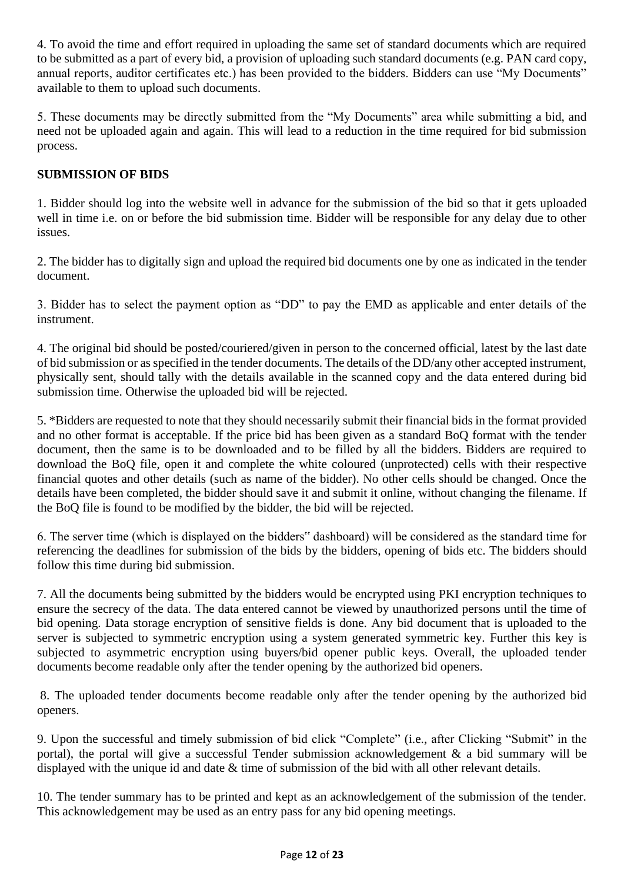4. To avoid the time and effort required in uploading the same set of standard documents which are required to be submitted as a part of every bid, a provision of uploading such standard documents (e.g. PAN card copy, annual reports, auditor certificates etc.) has been provided to the bidders. Bidders can use "My Documents" available to them to upload such documents.

5. These documents may be directly submitted from the "My Documents" area while submitting a bid, and need not be uploaded again and again. This will lead to a reduction in the time required for bid submission process.

# **SUBMISSION OF BIDS**

1. Bidder should log into the website well in advance for the submission of the bid so that it gets uploaded well in time i.e. on or before the bid submission time. Bidder will be responsible for any delay due to other issues.

2. The bidder has to digitally sign and upload the required bid documents one by one as indicated in the tender document.

3. Bidder has to select the payment option as "DD" to pay the EMD as applicable and enter details of the instrument.

4. The original bid should be posted/couriered/given in person to the concerned official, latest by the last date of bid submission or as specified in the tender documents. The details of the DD/any other accepted instrument, physically sent, should tally with the details available in the scanned copy and the data entered during bid submission time. Otherwise the uploaded bid will be rejected.

5. \*Bidders are requested to note that they should necessarily submit their financial bids in the format provided and no other format is acceptable. If the price bid has been given as a standard BoQ format with the tender document, then the same is to be downloaded and to be filled by all the bidders. Bidders are required to download the BoQ file, open it and complete the white coloured (unprotected) cells with their respective financial quotes and other details (such as name of the bidder). No other cells should be changed. Once the details have been completed, the bidder should save it and submit it online, without changing the filename. If the BoQ file is found to be modified by the bidder, the bid will be rejected.

6. The server time (which is displayed on the bidders" dashboard) will be considered as the standard time for referencing the deadlines for submission of the bids by the bidders, opening of bids etc. The bidders should follow this time during bid submission.

7. All the documents being submitted by the bidders would be encrypted using PKI encryption techniques to ensure the secrecy of the data. The data entered cannot be viewed by unauthorized persons until the time of bid opening. Data storage encryption of sensitive fields is done. Any bid document that is uploaded to the server is subjected to symmetric encryption using a system generated symmetric key. Further this key is subjected to asymmetric encryption using buyers/bid opener public keys. Overall, the uploaded tender documents become readable only after the tender opening by the authorized bid openers.

8. The uploaded tender documents become readable only after the tender opening by the authorized bid openers.

9. Upon the successful and timely submission of bid click "Complete" (i.e., after Clicking "Submit" in the portal), the portal will give a successful Tender submission acknowledgement & a bid summary will be displayed with the unique id and date & time of submission of the bid with all other relevant details.

10. The tender summary has to be printed and kept as an acknowledgement of the submission of the tender. This acknowledgement may be used as an entry pass for any bid opening meetings.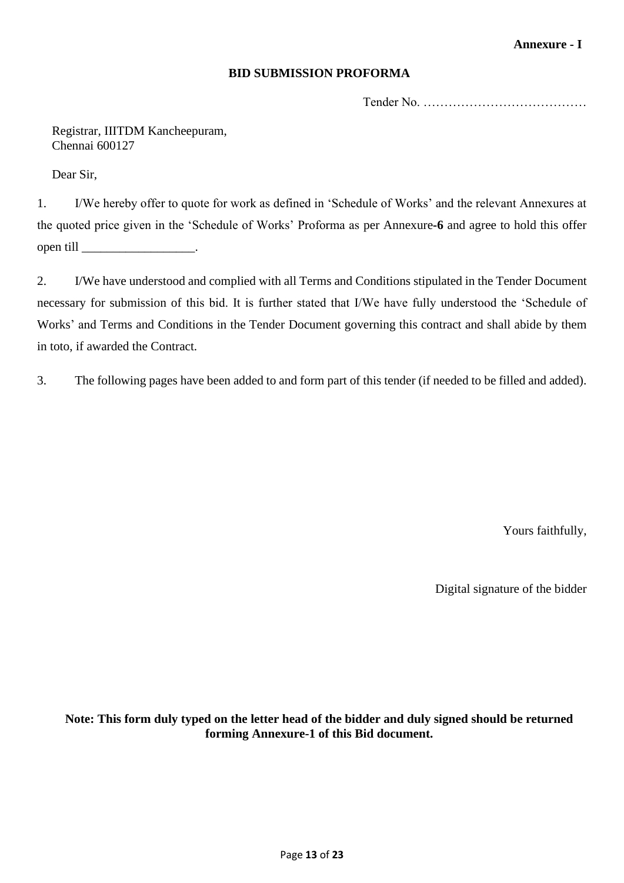### **Annexure - I**

#### **BID SUBMISSION PROFORMA**

Tender No. …………………………………

Registrar, IIITDM Kancheepuram, Chennai 600127

Dear Sir,

1. I/We hereby offer to quote for work as defined in 'Schedule of Works' and the relevant Annexures at the quoted price given in the 'Schedule of Works' Proforma as per Annexure**-6** and agree to hold this offer open till \_\_\_\_\_\_\_\_\_\_\_\_\_\_\_\_\_\_.

2. I/We have understood and complied with all Terms and Conditions stipulated in the Tender Document necessary for submission of this bid. It is further stated that I/We have fully understood the 'Schedule of Works' and Terms and Conditions in the Tender Document governing this contract and shall abide by them in toto, if awarded the Contract.

3. The following pages have been added to and form part of this tender (if needed to be filled and added).

Yours faithfully,

Digital signature of the bidder

**Note: This form duly typed on the letter head of the bidder and duly signed should be returned forming Annexure-1 of this Bid document.**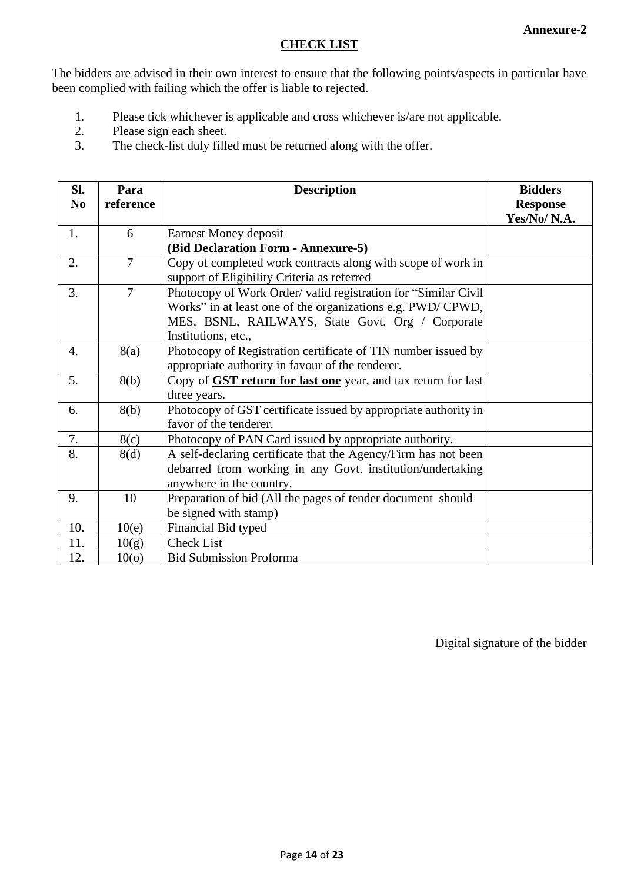#### **CHECK LIST**

The bidders are advised in their own interest to ensure that the following points/aspects in particular have been complied with failing which the offer is liable to rejected.

- 1. Please tick whichever is applicable and cross whichever is/are not applicable.
- 2. Please sign each sheet.
- 3. The check-list duly filled must be returned along with the offer.

| SI.              | Para              | <b>Description</b>                                                   | <b>Bidders</b>  |
|------------------|-------------------|----------------------------------------------------------------------|-----------------|
| N <sub>0</sub>   | reference         |                                                                      | <b>Response</b> |
|                  |                   |                                                                      | Yes/No/N.A.     |
| 1.               | 6                 | Earnest Money deposit                                                |                 |
|                  |                   | (Bid Declaration Form - Annexure-5)                                  |                 |
| 2.               | $\overline{7}$    | Copy of completed work contracts along with scope of work in         |                 |
|                  |                   | support of Eligibility Criteria as referred                          |                 |
| 3.               | $\overline{7}$    | Photocopy of Work Order/ valid registration for "Similar Civil"      |                 |
|                  |                   | Works" in at least one of the organizations e.g. PWD/CPWD,           |                 |
|                  |                   | MES, BSNL, RAILWAYS, State Govt. Org / Corporate                     |                 |
|                  |                   | Institutions, etc.,                                                  |                 |
| $\overline{4}$ . | 8(a)              | Photocopy of Registration certificate of TIN number issued by        |                 |
|                  |                   | appropriate authority in favour of the tenderer.                     |                 |
| 5.               | 8(b)              | Copy of <b>GST return for last one</b> year, and tax return for last |                 |
|                  |                   | three years.                                                         |                 |
| 6.               | 8(b)              | Photocopy of GST certificate issued by appropriate authority in      |                 |
|                  |                   | favor of the tenderer.                                               |                 |
| 7.               | 8(c)              | Photocopy of PAN Card issued by appropriate authority.               |                 |
| 8.               | 8(d)              | A self-declaring certificate that the Agency/Firm has not been       |                 |
|                  |                   | debarred from working in any Govt. institution/undertaking           |                 |
|                  |                   | anywhere in the country.                                             |                 |
| 9.               | 10                | Preparation of bid (All the pages of tender document should          |                 |
|                  |                   | be signed with stamp)                                                |                 |
| 10.              | 10(e)             | Financial Bid typed                                                  |                 |
| 11.              | 10(g)             | <b>Check List</b>                                                    |                 |
| 12.              | 10 <sub>(o)</sub> | <b>Bid Submission Proforma</b>                                       |                 |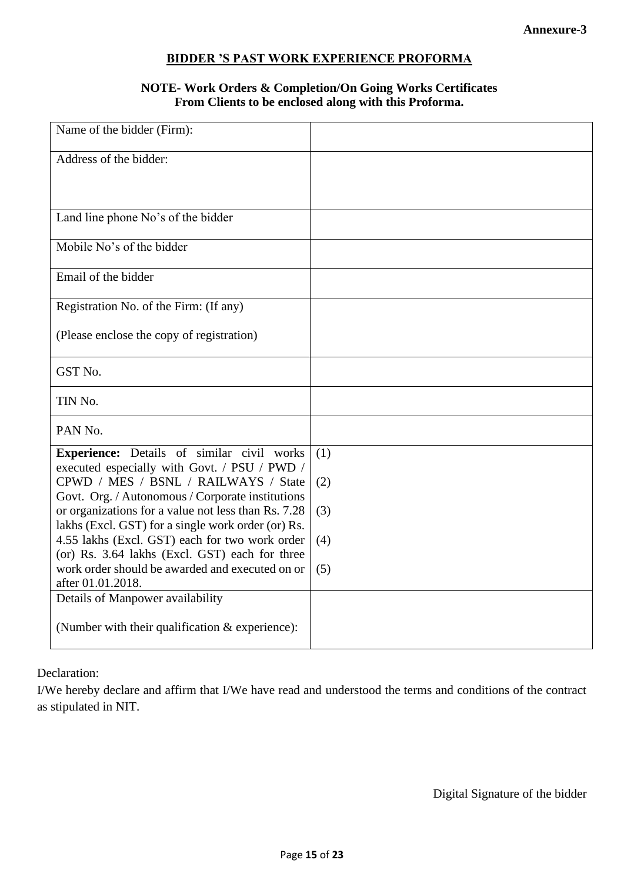# **BIDDER 'S PAST WORK EXPERIENCE PROFORMA**

# **NOTE- Work Orders & Completion/On Going Works Certificates From Clients to be enclosed along with this Proforma.**

| Name of the bidder (Firm):                                                                              |     |
|---------------------------------------------------------------------------------------------------------|-----|
| Address of the bidder:                                                                                  |     |
|                                                                                                         |     |
| Land line phone No's of the bidder                                                                      |     |
| Mobile No's of the bidder                                                                               |     |
| Email of the bidder                                                                                     |     |
| Registration No. of the Firm: (If any)                                                                  |     |
| (Please enclose the copy of registration)                                                               |     |
| GST No.                                                                                                 |     |
| TIN No.                                                                                                 |     |
| PAN No.                                                                                                 |     |
| Experience: Details of similar civil works<br>executed especially with Govt. / PSU / PWD /              | (1) |
| CPWD / MES / BSNL / RAILWAYS / State                                                                    | (2) |
| Govt. Org. / Autonomous / Corporate institutions<br>or organizations for a value not less than Rs. 7.28 | (3) |
| lakhs (Excl. GST) for a single work order (or) Rs.<br>4.55 lakhs (Excl. GST) each for two work order    | (4) |
| (or) Rs. 3.64 lakhs (Excl. GST) each for three<br>work order should be awarded and executed on or       | (5) |
| after 01.01.2018.                                                                                       |     |
| Details of Manpower availability                                                                        |     |
| (Number with their qualification & experience):                                                         |     |

Declaration:

I/We hereby declare and affirm that I/We have read and understood the terms and conditions of the contract as stipulated in NIT.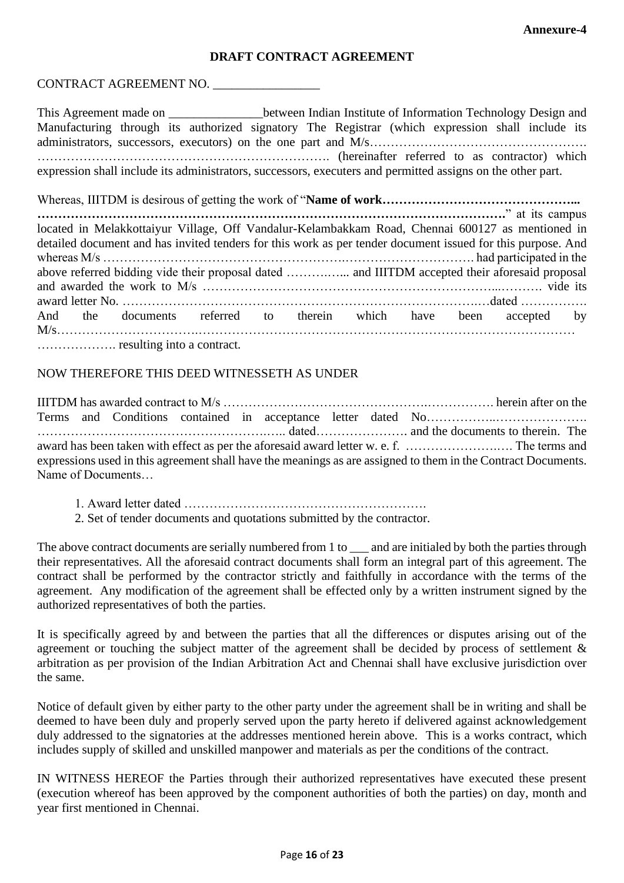#### **DRAFT CONTRACT AGREEMENT**

# CONTRACT AGREEMENT NO. \_\_\_\_\_\_\_\_\_\_\_\_\_\_\_\_\_

This Agreement made on \_\_\_\_\_\_\_\_\_\_\_\_\_\_\_between Indian Institute of Information Technology Design and Manufacturing through its authorized signatory The Registrar (which expression shall include its administrators, successors, executors) on the one part and M/s………………………………………………… ……………………………………………………………. (hereinafter referred to as contractor) which expression shall include its administrators, successors, executers and permitted assigns on the other part.

Whereas, IIITDM is desirous of getting the work of "**Name of work………………………………………... ………………………………………………………………………………………………….**" at its campus located in Melakkottaiyur Village, Off Vandalur-Kelambakkam Road, Chennai 600127 as mentioned in detailed document and has invited tenders for this work as per tender document issued for this purpose. And whereas M/s ………………………………………………….…………………………. had participated in the above referred bidding vide their proposal dated ……….…... and IIITDM accepted their aforesaid proposal and awarded the work to M/s ……………………………………………………………...………. vide its award letter No. ………………………………………………………………………….…dated ……………. And the documents referred to therein which have been accepted by M/s…………………………….……………………………………………………………………………… ………………. resulting into a contract.

#### NOW THEREFORE THIS DEED WITNESSETH AS UNDER

IIITDM has awarded contract to M/s ………………………………………….……………. herein after on the Terms and Conditions contained in acceptance letter dated No…………………………………………………… ……………………………………………….….. dated…………………. and the documents to therein. The award has been taken with effect as per the aforesaid award letter w. e. f. ………………….…. The terms and expressions used in this agreement shall have the meanings as are assigned to them in the Contract Documents. Name of Documents…

- 1. Award letter dated ………………………………………………….
- 2. Set of tender documents and quotations submitted by the contractor.

The above contract documents are serially numbered from 1 to \_\_\_ and are initialed by both the parties through their representatives. All the aforesaid contract documents shall form an integral part of this agreement. The contract shall be performed by the contractor strictly and faithfully in accordance with the terms of the agreement. Any modification of the agreement shall be effected only by a written instrument signed by the authorized representatives of both the parties.

It is specifically agreed by and between the parties that all the differences or disputes arising out of the agreement or touching the subject matter of the agreement shall be decided by process of settlement & arbitration as per provision of the Indian Arbitration Act and Chennai shall have exclusive jurisdiction over the same.

Notice of default given by either party to the other party under the agreement shall be in writing and shall be deemed to have been duly and properly served upon the party hereto if delivered against acknowledgement duly addressed to the signatories at the addresses mentioned herein above. This is a works contract, which includes supply of skilled and unskilled manpower and materials as per the conditions of the contract.

IN WITNESS HEREOF the Parties through their authorized representatives have executed these present (execution whereof has been approved by the component authorities of both the parties) on day, month and year first mentioned in Chennai.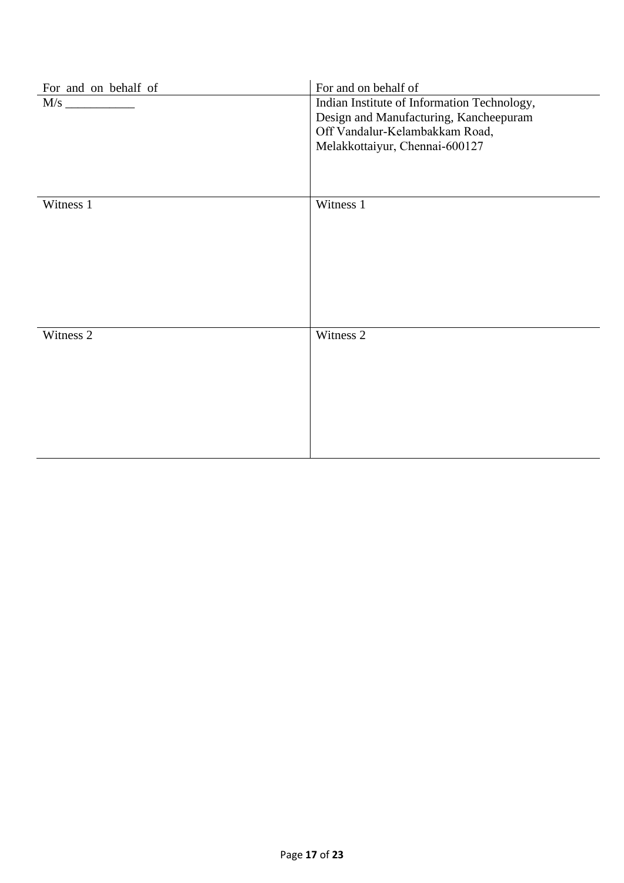| For and on behalf of | For and on behalf of                                                                                                                                      |
|----------------------|-----------------------------------------------------------------------------------------------------------------------------------------------------------|
| M/s                  | Indian Institute of Information Technology,<br>Design and Manufacturing, Kancheepuram<br>Off Vandalur-Kelambakkam Road,<br>Melakkottaiyur, Chennai-600127 |
| Witness 1            | Witness 1                                                                                                                                                 |
| Witness 2            | Witness 2                                                                                                                                                 |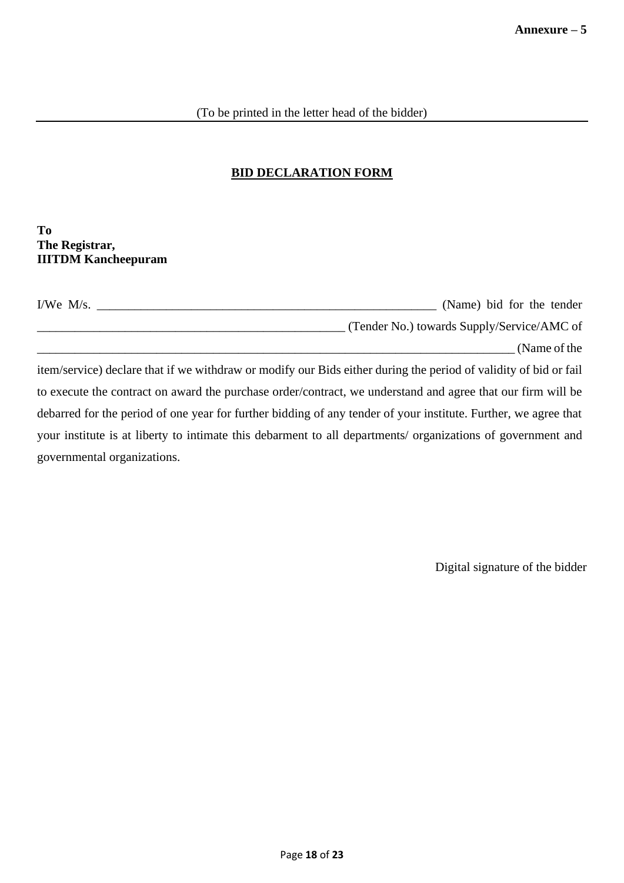# **BID DECLARATION FORM**

#### **To The Registrar, IIITDM Kancheepuram**

| I/We $M/s$ . | (Name) bid for the tender                  |
|--------------|--------------------------------------------|
|              | (Tender No.) towards Supply/Service/AMC of |
|              | (Name of the                               |

item/service) declare that if we withdraw or modify our Bids either during the period of validity of bid or fail to execute the contract on award the purchase order/contract, we understand and agree that our firm will be debarred for the period of one year for further bidding of any tender of your institute. Further, we agree that your institute is at liberty to intimate this debarment to all departments/ organizations of government and governmental organizations.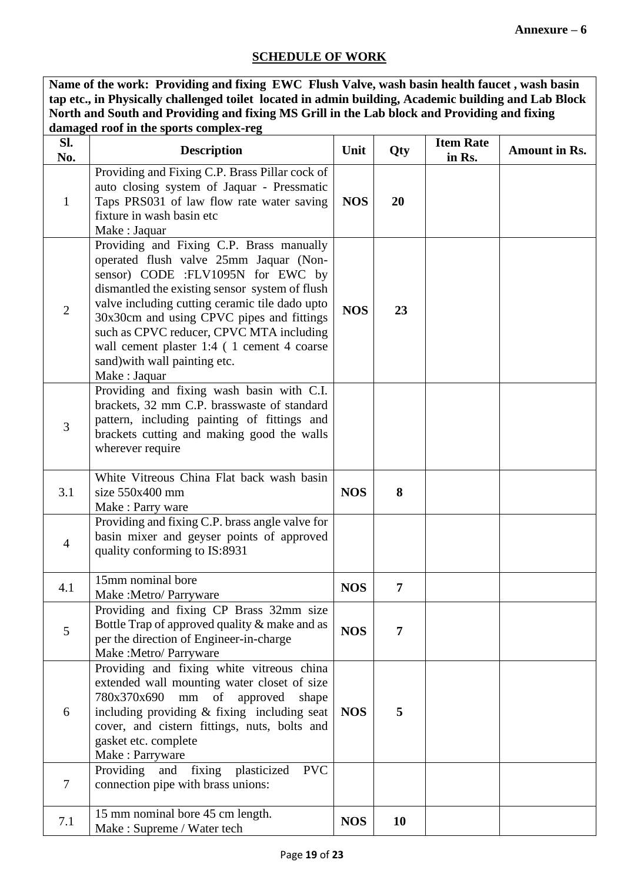### **SCHEDULE OF WORK**

**Name of the work: Providing and fixing EWC Flush Valve, wash basin health faucet , wash basin tap etc., in Physically challenged toilet located in admin building, Academic building and Lab Block North and South and Providing and fixing MS Grill in the Lab block and Providing and fixing damaged roof in the sports complex-reg**

| Sl.<br>No.     | <b>Description</b>                                                                                                                                                                                                                                                                                                                                                                                                  | Unit       | Qty            | <b>Item Rate</b><br>in Rs. | <b>Amount in Rs.</b> |
|----------------|---------------------------------------------------------------------------------------------------------------------------------------------------------------------------------------------------------------------------------------------------------------------------------------------------------------------------------------------------------------------------------------------------------------------|------------|----------------|----------------------------|----------------------|
| $\mathbf{1}$   | Providing and Fixing C.P. Brass Pillar cock of<br>auto closing system of Jaquar - Pressmatic<br>Taps PRS031 of law flow rate water saving<br>fixture in wash basin etc<br>Make : Jaquar                                                                                                                                                                                                                             | <b>NOS</b> | 20             |                            |                      |
| $\overline{2}$ | Providing and Fixing C.P. Brass manually<br>operated flush valve 25mm Jaquar (Non-<br>sensor) CODE :FLV1095N for EWC by<br>dismantled the existing sensor system of flush<br>valve including cutting ceramic tile dado upto<br>30x30cm and using CPVC pipes and fittings<br>such as CPVC reducer, CPVC MTA including<br>wall cement plaster 1:4 (1 cement 4 coarse<br>sand) with wall painting etc.<br>Make: Jaquar | <b>NOS</b> | 23             |                            |                      |
| $\overline{3}$ | Providing and fixing wash basin with C.I.<br>brackets, 32 mm C.P. brasswaste of standard<br>pattern, including painting of fittings and<br>brackets cutting and making good the walls<br>wherever require                                                                                                                                                                                                           |            |                |                            |                      |
| 3.1            | White Vitreous China Flat back wash basin<br>size 550x400 mm<br>Make: Parry ware                                                                                                                                                                                                                                                                                                                                    | <b>NOS</b> | 8              |                            |                      |
| $\overline{4}$ | Providing and fixing C.P. brass angle valve for<br>basin mixer and geyser points of approved<br>quality conforming to IS:8931                                                                                                                                                                                                                                                                                       |            |                |                            |                      |
| 4.1            | 15mm nominal bore<br>Make:Metro/Parryware                                                                                                                                                                                                                                                                                                                                                                           | <b>NOS</b> | $\overline{7}$ |                            |                      |
| 5              | Providing and fixing CP Brass 32mm size<br>Bottle Trap of approved quality & make and as<br>per the direction of Engineer-in-charge<br>Make : Metro/ Parryware                                                                                                                                                                                                                                                      | <b>NOS</b> | 7              |                            |                      |
| 6              | Providing and fixing white vitreous china<br>extended wall mounting water closet of size<br>780x370x690<br>of<br>approved<br>mm<br>shape<br>including providing & fixing including seat<br>cover, and cistern fittings, nuts, bolts and<br>gasket etc. complete<br>Make: Parryware                                                                                                                                  | <b>NOS</b> | 5              |                            |                      |
| 7              | <b>PVC</b><br>Providing<br>and fixing plasticized<br>connection pipe with brass unions:                                                                                                                                                                                                                                                                                                                             |            |                |                            |                      |
| 7.1            | 15 mm nominal bore 45 cm length.<br>Make: Supreme / Water tech                                                                                                                                                                                                                                                                                                                                                      | <b>NOS</b> | 10             |                            |                      |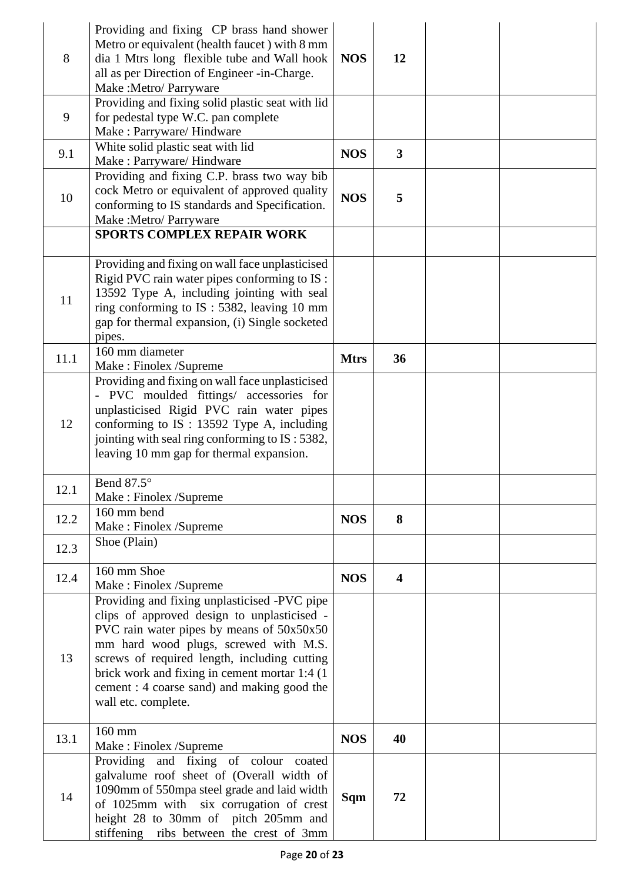| 8    | Providing and fixing CP brass hand shower<br>Metro or equivalent (health faucet) with 8 mm<br>dia 1 Mtrs long flexible tube and Wall hook<br>all as per Direction of Engineer -in-Charge.<br>Make : Metro/ Parryware                                                                                                                                      | <b>NOS</b>  | 12                      |  |
|------|-----------------------------------------------------------------------------------------------------------------------------------------------------------------------------------------------------------------------------------------------------------------------------------------------------------------------------------------------------------|-------------|-------------------------|--|
| 9    | Providing and fixing solid plastic seat with lid<br>for pedestal type W.C. pan complete<br>Make: Parryware/ Hindware                                                                                                                                                                                                                                      |             |                         |  |
| 9.1  | White solid plastic seat with lid<br>Make: Parryware/ Hindware                                                                                                                                                                                                                                                                                            | <b>NOS</b>  | $\mathbf{3}$            |  |
| 10   | Providing and fixing C.P. brass two way bib<br>cock Metro or equivalent of approved quality<br>conforming to IS standards and Specification.<br>Make :Metro/ Parryware<br>SPORTS COMPLEX REPAIR WORK                                                                                                                                                      | <b>NOS</b>  | 5                       |  |
|      |                                                                                                                                                                                                                                                                                                                                                           |             |                         |  |
| 11   | Providing and fixing on wall face unplasticised<br>Rigid PVC rain water pipes conforming to IS :<br>13592 Type A, including jointing with seal<br>ring conforming to IS: 5382, leaving 10 mm<br>gap for thermal expansion, (i) Single socketed<br>pipes.                                                                                                  |             |                         |  |
| 11.1 | 160 mm diameter<br>Make: Finolex /Supreme                                                                                                                                                                                                                                                                                                                 | <b>Mtrs</b> | 36                      |  |
| 12   | Providing and fixing on wall face unplasticised<br>- PVC moulded fittings/ accessories for<br>unplasticised Rigid PVC rain water pipes<br>conforming to IS : 13592 Type A, including<br>jointing with seal ring conforming to IS: 5382,<br>leaving 10 mm gap for thermal expansion.                                                                       |             |                         |  |
| 12.1 | Bend 87.5°<br>Make: Finolex /Supreme                                                                                                                                                                                                                                                                                                                      |             |                         |  |
| 12.2 | 160 mm bend<br>Make: Finolex /Supreme                                                                                                                                                                                                                                                                                                                     | <b>NOS</b>  | 8                       |  |
| 12.3 | Shoe (Plain)                                                                                                                                                                                                                                                                                                                                              |             |                         |  |
| 12.4 | 160 mm Shoe<br>Make: Finolex /Supreme                                                                                                                                                                                                                                                                                                                     | <b>NOS</b>  | $\overline{\mathbf{4}}$ |  |
| 13   | Providing and fixing unplasticised -PVC pipe<br>clips of approved design to unplasticised -<br>PVC rain water pipes by means of 50x50x50<br>mm hard wood plugs, screwed with M.S.<br>screws of required length, including cutting<br>brick work and fixing in cement mortar 1:4 (1)<br>cement : 4 coarse sand) and making good the<br>wall etc. complete. |             |                         |  |
| 13.1 | 160 mm<br>Make: Finolex /Supreme                                                                                                                                                                                                                                                                                                                          | <b>NOS</b>  | 40                      |  |
| 14   | Providing and fixing of colour coated<br>galvalume roof sheet of (Overall width of<br>1090mm of 550mpa steel grade and laid width<br>of 1025mm with six corrugation of crest<br>height 28 to 30mm of pitch 205mm and<br>stiffening ribs between the crest of 3mm                                                                                          | Sqm         | 72                      |  |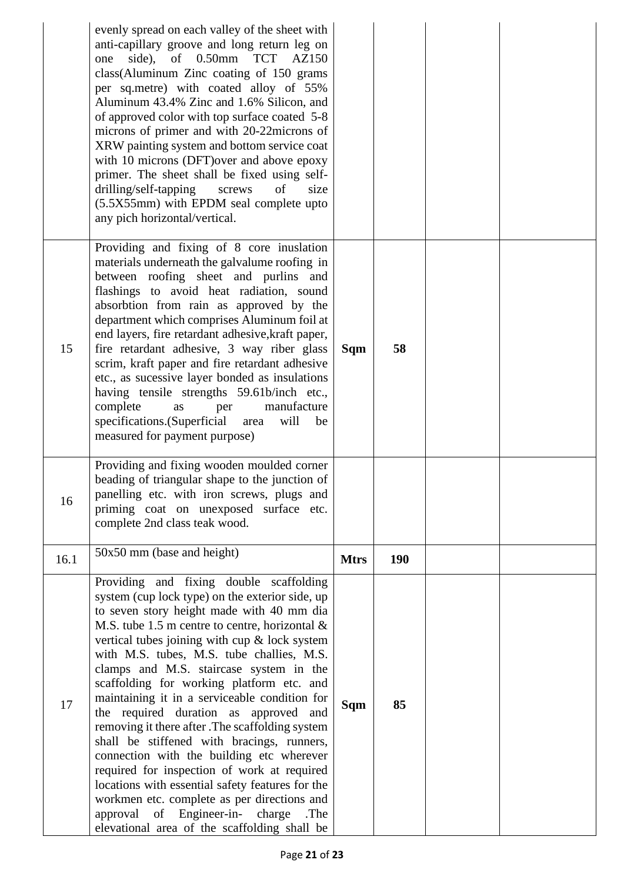|      | evenly spread on each valley of the sheet with<br>anti-capillary groove and long return leg on<br>side),<br>of 0.50mm TCT<br>AZ150<br>one<br>class(Aluminum Zinc coating of 150 grams<br>per sq.metre) with coated alloy of 55%<br>Aluminum 43.4% Zinc and 1.6% Silicon, and<br>of approved color with top surface coated 5-8<br>microns of primer and with 20-22microns of<br>XRW painting system and bottom service coat<br>with 10 microns (DFT) over and above epoxy<br>primer. The sheet shall be fixed using self-<br>drilling/self-tapping<br>of<br>screws<br>size<br>(5.5X55mm) with EPDM seal complete upto<br>any pich horizontal/vertical.                                                                                                                                                                                                                         |             |            |  |
|------|-------------------------------------------------------------------------------------------------------------------------------------------------------------------------------------------------------------------------------------------------------------------------------------------------------------------------------------------------------------------------------------------------------------------------------------------------------------------------------------------------------------------------------------------------------------------------------------------------------------------------------------------------------------------------------------------------------------------------------------------------------------------------------------------------------------------------------------------------------------------------------|-------------|------------|--|
| 15   | Providing and fixing of 8 core inuslation<br>materials underneath the galvalume roofing in<br>between roofing sheet and purlins and<br>flashings to avoid heat radiation, sound<br>absorbtion from rain as approved by the<br>department which comprises Aluminum foil at<br>end layers, fire retardant adhesive, kraft paper,<br>fire retardant adhesive, 3 way riber glass<br>scrim, kraft paper and fire retardant adhesive<br>etc., as sucessive layer bonded as insulations<br>having tensile strengths 59.61b/inch etc.,<br>complete<br>manufacture<br>as<br>per<br>specifications. (Superficial<br>will<br>area<br>be<br>measured for payment purpose)                                                                                                                                                                                                                 | Sqm         | 58         |  |
| 16   | Providing and fixing wooden moulded corner<br>beading of triangular shape to the junction of<br>panelling etc. with iron screws, plugs and<br>priming coat on unexposed surface etc.<br>complete 2nd class teak wood.                                                                                                                                                                                                                                                                                                                                                                                                                                                                                                                                                                                                                                                         |             |            |  |
| 16.1 | 50x50 mm (base and height)                                                                                                                                                                                                                                                                                                                                                                                                                                                                                                                                                                                                                                                                                                                                                                                                                                                    | <b>Mtrs</b> | <b>190</b> |  |
| 17   | Providing and fixing double scaffolding<br>system (cup lock type) on the exterior side, up<br>to seven story height made with 40 mm dia<br>M.S. tube 1.5 m centre to centre, horizontal $\&$<br>vertical tubes joining with cup & lock system<br>with M.S. tubes, M.S. tube challies, M.S.<br>clamps and M.S. staircase system in the<br>scaffolding for working platform etc. and<br>maintaining it in a serviceable condition for<br>the required duration as approved and<br>removing it there after .The scaffolding system<br>shall be stiffened with bracings, runners,<br>connection with the building etc wherever<br>required for inspection of work at required<br>locations with essential safety features for the<br>workmen etc. complete as per directions and<br>of Engineer-in-<br>approval<br>charge<br>.The<br>elevational area of the scaffolding shall be | Sqm         | 85         |  |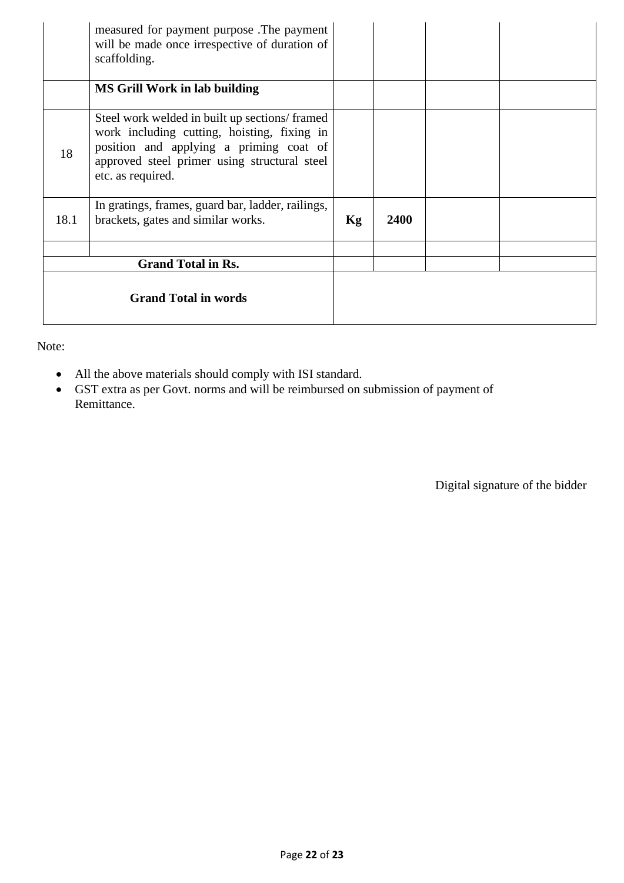|      | measured for payment purpose. The payment<br>will be made once irrespective of duration of<br>scaffolding.                                                                                                   |    |      |  |  |
|------|--------------------------------------------------------------------------------------------------------------------------------------------------------------------------------------------------------------|----|------|--|--|
|      | <b>MS Grill Work in lab building</b>                                                                                                                                                                         |    |      |  |  |
| 18   | Steel work welded in built up sections/framed<br>work including cutting, hoisting, fixing in<br>position and applying a priming coat of<br>approved steel primer using structural steel<br>etc. as required. |    |      |  |  |
| 18.1 | In gratings, frames, guard bar, ladder, railings,<br>brackets, gates and similar works.                                                                                                                      | Kg | 2400 |  |  |
|      | <b>Grand Total in Rs.</b>                                                                                                                                                                                    |    |      |  |  |
|      | <b>Grand Total in words</b>                                                                                                                                                                                  |    |      |  |  |

Note:

- All the above materials should comply with ISI standard.
- GST extra as per Govt. norms and will be reimbursed on submission of payment of Remittance.